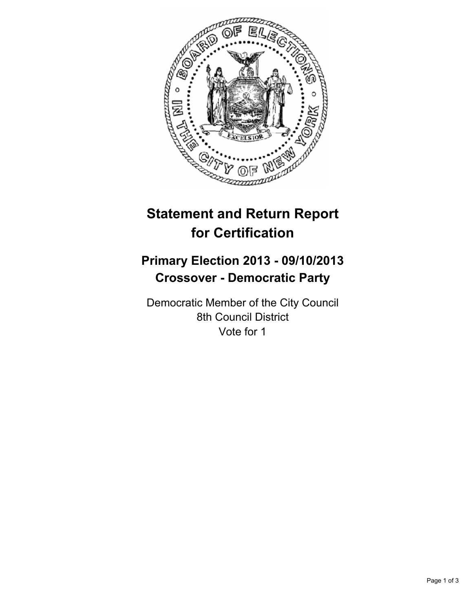

# **Statement and Return Report for Certification**

## **Primary Election 2013 - 09/10/2013 Crossover - Democratic Party**

Democratic Member of the City Council 8th Council District Vote for 1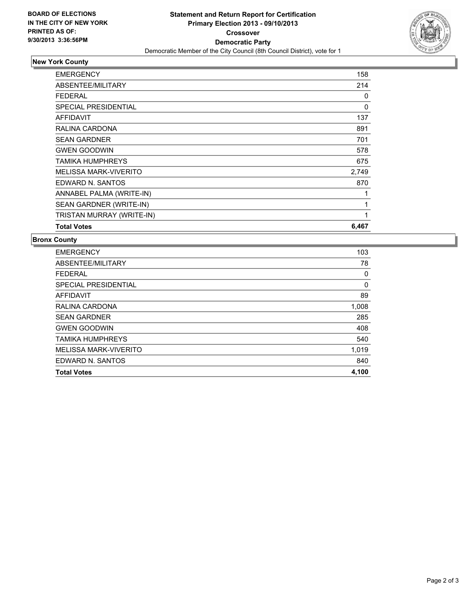

## **New York County**

| EMERGENCY                    | 158   |
|------------------------------|-------|
| ABSENTEE/MILITARY            | 214   |
| FEDERAL                      | 0     |
| SPECIAL PRESIDENTIAL         | 0     |
| <b>AFFIDAVIT</b>             | 137   |
| RALINA CARDONA               | 891   |
| <b>SEAN GARDNER</b>          | 701   |
| <b>GWEN GOODWIN</b>          | 578   |
| TAMIKA HUMPHREYS             | 675   |
| <b>MELISSA MARK-VIVERITO</b> | 2,749 |
| EDWARD N. SANTOS             | 870   |
| ANNABEL PALMA (WRITE-IN)     | 1     |
| SEAN GARDNER (WRITE-IN)      | 1     |
| TRISTAN MURRAY (WRITE-IN)    | 1     |
| <b>Total Votes</b>           | 6,467 |

### **Bronx County**

| <b>EMERGENCY</b>            | 103   |
|-----------------------------|-------|
| ABSENTEE/MILITARY           | 78    |
| <b>FEDERAL</b>              | 0     |
| <b>SPECIAL PRESIDENTIAL</b> | 0     |
| <b>AFFIDAVIT</b>            | 89    |
| RALINA CARDONA              | 1,008 |
| <b>SEAN GARDNER</b>         | 285   |
| <b>GWEN GOODWIN</b>         | 408   |
| <b>TAMIKA HUMPHREYS</b>     | 540   |
| MELISSA MARK-VIVERITO       | 1,019 |
| EDWARD N. SANTOS            | 840   |
| <b>Total Votes</b>          | 4,100 |